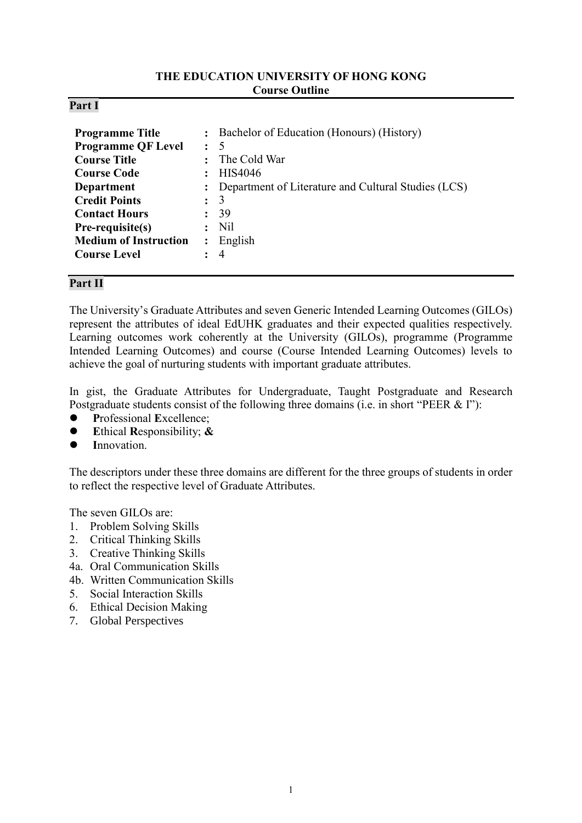### **THE EDUCATION UNIVERSITY OF HONG KONG Course Outline**

### **Part I**

| <b>Programme Title</b><br><b>Programme QF Level</b><br><b>Course Title</b><br><b>Course Code</b><br><b>Department</b><br><b>Credit Points</b><br><b>Contact Hours</b><br>Pre-requisite(s)<br><b>Medium of Instruction</b> | :<br>$\ddot{\phantom{a}}$ | : Bachelor of Education (Honours) (History)<br>5<br>The Cold War<br>HIS4046<br>Department of Literature and Cultural Studies (LCS)<br>3<br>39<br>N <sub>il</sub><br>English |
|---------------------------------------------------------------------------------------------------------------------------------------------------------------------------------------------------------------------------|---------------------------|-----------------------------------------------------------------------------------------------------------------------------------------------------------------------------|
| <b>Course Level</b>                                                                                                                                                                                                       |                           | $\overline{4}$                                                                                                                                                              |
|                                                                                                                                                                                                                           |                           |                                                                                                                                                                             |

# **Part II**

The University's Graduate Attributes and seven Generic Intended Learning Outcomes (GILOs) represent the attributes of ideal EdUHK graduates and their expected qualities respectively. Learning outcomes work coherently at the University (GILOs), programme (Programme Intended Learning Outcomes) and course (Course Intended Learning Outcomes) levels to achieve the goal of nurturing students with important graduate attributes.

In gist, the Graduate Attributes for Undergraduate, Taught Postgraduate and Research Postgraduate students consist of the following three domains (i.e. in short "PEER & I"):

- **P**rofessional **E**xcellence;
- **E**thical **R**esponsibility; **&**
- **I**nnovation.

The descriptors under these three domains are different for the three groups of students in order to reflect the respective level of Graduate Attributes.

The seven GILOs are:

- 1. Problem Solving Skills
- 2. Critical Thinking Skills
- 3. Creative Thinking Skills
- 4a. Oral Communication Skills
- 4b. Written Communication Skills
- 5. Social Interaction Skills
- 6. Ethical Decision Making
- 7. Global Perspectives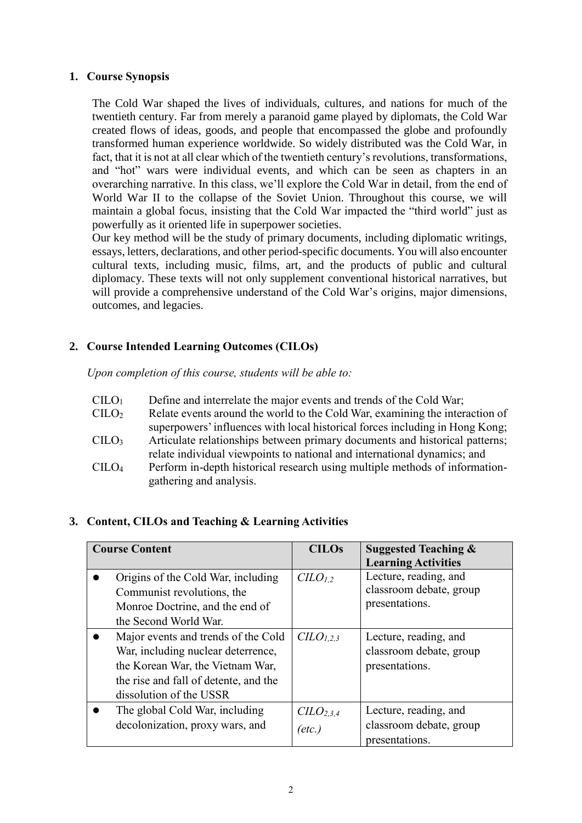### **1. Course Synopsis**

The Cold War shaped the lives of individuals, cultures, and nations for much of the twentieth century. Far from merely a paranoid game played by diplomats, the Cold War created flows of ideas, goods, and people that encompassed the globe and profoundly transformed human experience worldwide. So widely distributed was the Cold War, in fact, that it is not at all clear which of the twentieth century's revolutions, transformations, and "hot" wars were individual events, and which can be seen as chapters in an overarching narrative. In this class, we'll explore the Cold War in detail, from the end of World War II to the collapse of the Soviet Union. Throughout this course, we will maintain a global focus, insisting that the Cold War impacted the "third world" just as powerfully as it oriented life in superpower societies.

Our key method will be the study of primary documents, including diplomatic writings, essays, letters, declarations, and other period-specific documents. You will also encounter cultural texts, including music, films, art, and the products of public and cultural diplomacy. These texts will not only supplement conventional historical narratives, but will provide a comprehensive understand of the Cold War's origins, major dimensions, outcomes, and legacies.

# **2. Course Intended Learning Outcomes (CILOs)**

*Upon completion of this course, students will be able to:*

- $\text{CILO}_1$  Define and interrelate the major events and trends of the Cold War;
- $C$   $ClLO<sub>2</sub>$   $Relate$  events around the world to the Cold War, examining the interaction ofsuperpowers' influences with local historical forces including in Hong Kong;
- CILO<sup>3</sup> Articulate relationships between primary documents and historical patterns; relate individual viewpoints to national and international dynamics; and
- CILO<sup>4</sup> Perform in-depth historical research using multiple methods of informationgathering and analysis.

# **3. Content, CILOs and Teaching & Learning Activities**

| <b>Course Content</b> |                                                                                                                                                                                   | <b>CILOs</b>                                | <b>Suggested Teaching &amp;</b><br><b>Learning Activities</b>      |
|-----------------------|-----------------------------------------------------------------------------------------------------------------------------------------------------------------------------------|---------------------------------------------|--------------------------------------------------------------------|
|                       | Origins of the Cold War, including<br>Communist revolutions, the<br>Monroe Doctrine, and the end of                                                                               | $CLO_{1,2}$                                 | Lecture, reading, and<br>classroom debate, group<br>presentations. |
|                       | the Second World War.                                                                                                                                                             |                                             |                                                                    |
|                       | Major events and trends of the Cold<br>War, including nuclear deterrence,<br>the Korean War, the Vietnam War,<br>the rise and fall of detente, and the<br>dissolution of the USSR | C <sub>L</sub> O <sub>L,2,3</sub>           | Lecture, reading, and<br>classroom debate, group<br>presentations. |
|                       | The global Cold War, including<br>decolonization, proxy wars, and                                                                                                                 | C <sub>L</sub> O <sub>2,3,4</sub><br>(etc.) | Lecture, reading, and<br>classroom debate, group<br>presentations. |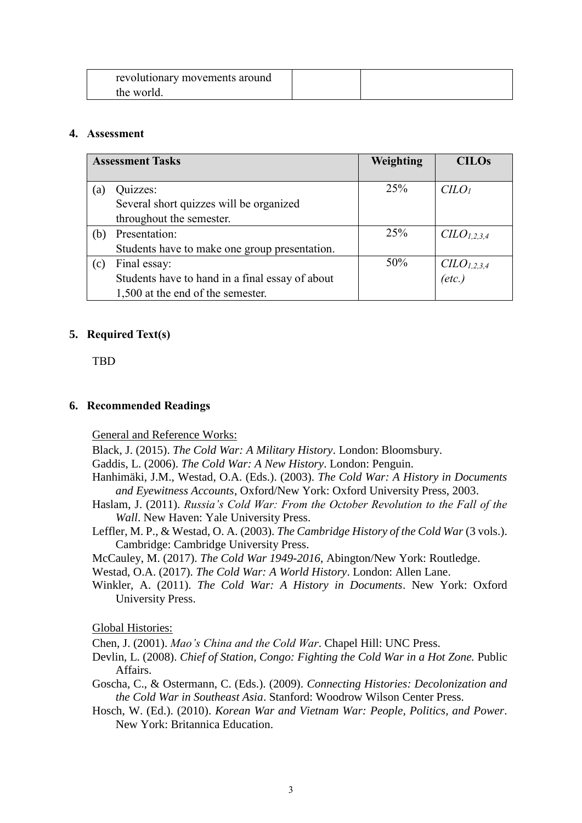| revolutionary movements around |  |
|--------------------------------|--|
| the world.                     |  |

# **4. Assessment**

| <b>Assessment Tasks</b> |                                                 | Weighting | <b>CILOs</b>                      |
|-------------------------|-------------------------------------------------|-----------|-----------------------------------|
|                         |                                                 |           |                                   |
| (a)                     | Quizzes:                                        | 25%       | $C LO$                            |
|                         | Several short quizzes will be organized         |           |                                   |
|                         | throughout the semester.                        |           |                                   |
| (b)                     | Presentation:                                   | 25%       | CLO <sub>1,2,3,4</sub>            |
|                         | Students have to make one group presentation.   |           |                                   |
| (c)                     | Final essay:                                    | 50%       |                                   |
|                         | Students have to hand in a final essay of about |           | $C\text{ILO}_{1,2,3,4}$<br>(etc.) |
|                         | 1,500 at the end of the semester.               |           |                                   |

# **5. Required Text(s)**

**TBD** 

### **6. Recommended Readings**

General and Reference Works:

Black, J. (2015). *The Cold War: A Military History*. London: Bloomsbury.

Gaddis, L. (2006). *The Cold War: A New History*. London: Penguin.

- Hanhimäki, J.M., Westad, O.A. (Eds.). (2003). *The Cold War: A History in Documents and Eyewitness Accounts*, Oxford/New York: Oxford University Press, 2003.
- Haslam, J. (2011). *Russia's Cold War: From the October Revolution to the Fall of the Wall*. New Haven: Yale University Press.
- Leffler, M. P., & Westad, O. A. (2003). *The Cambridge History of the Cold War* (3 vols.). Cambridge: Cambridge University Press.

McCauley, M. (2017). *The Cold War 1949-2016*, Abington/New York: Routledge.

Westad, O.A. (2017). *The Cold War: A World History*. London: Allen Lane.

Winkler, A. (2011). *The Cold War: A History in Documents*. New York: Oxford University Press.

Global Histories:

Chen, J. (2001). *Mao's China and the Cold War*. Chapel Hill: UNC Press.

- Devlin, L. (2008). *Chief of Station, Congo: Fighting the Cold War in a Hot Zone.* Public Affairs.
- Goscha, C., & Ostermann, C. (Eds.). (2009). *Connecting Histories: Decolonization and the Cold War in Southeast Asia*. Stanford: Woodrow Wilson Center Press*.*
- Hosch, W. (Ed.). (2010). *Korean War and Vietnam War: People, Politics, and Power*. New York: Britannica Education.